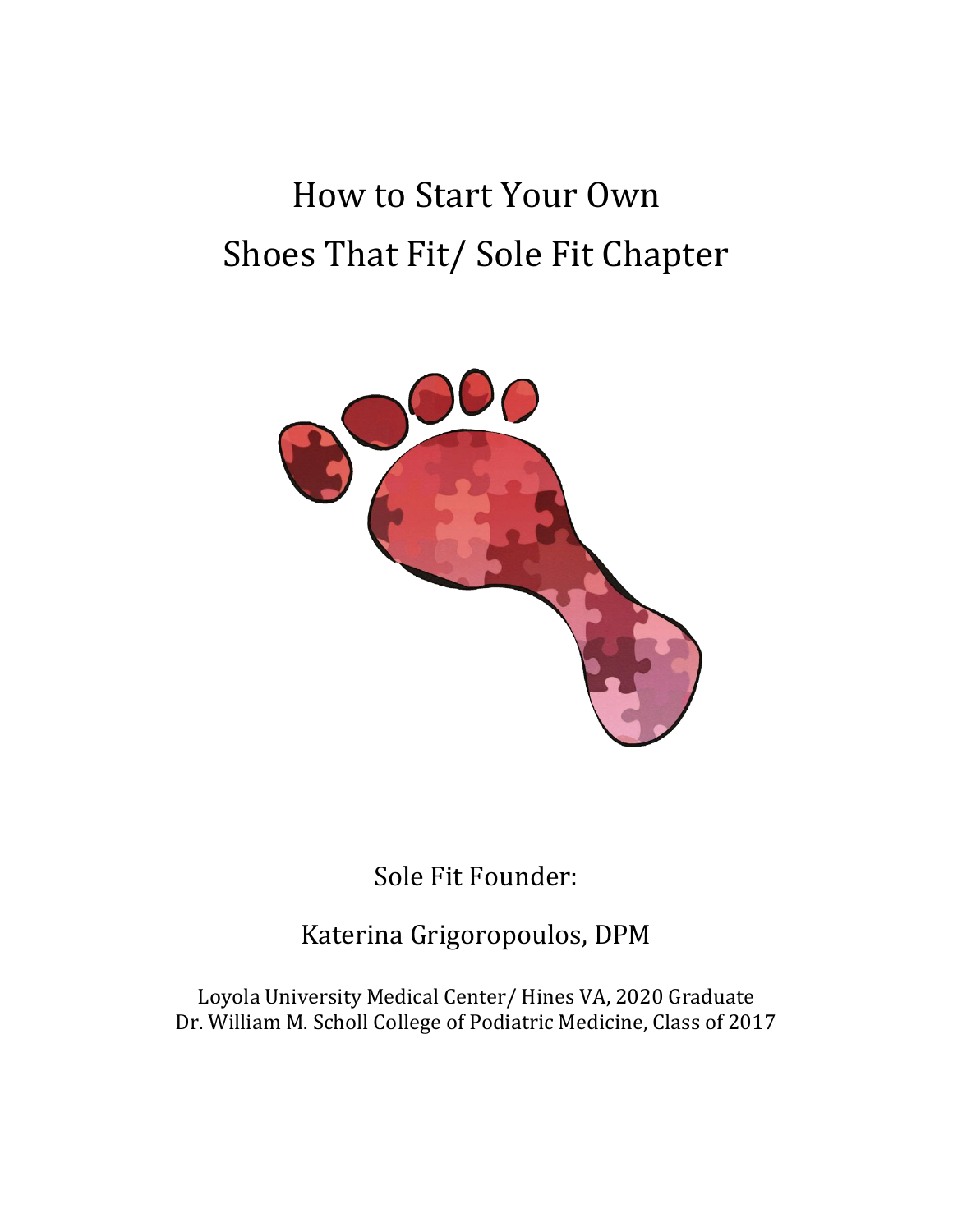## How to Start Your Own Shoes That Fit/ Sole Fit Chapter



Sole Fit Founder:

Katerina Grigoropoulos, DPM

Loyola University Medical Center/ Hines VA, 2020 Graduate Dr. William M. Scholl College of Podiatric Medicine, Class of 2017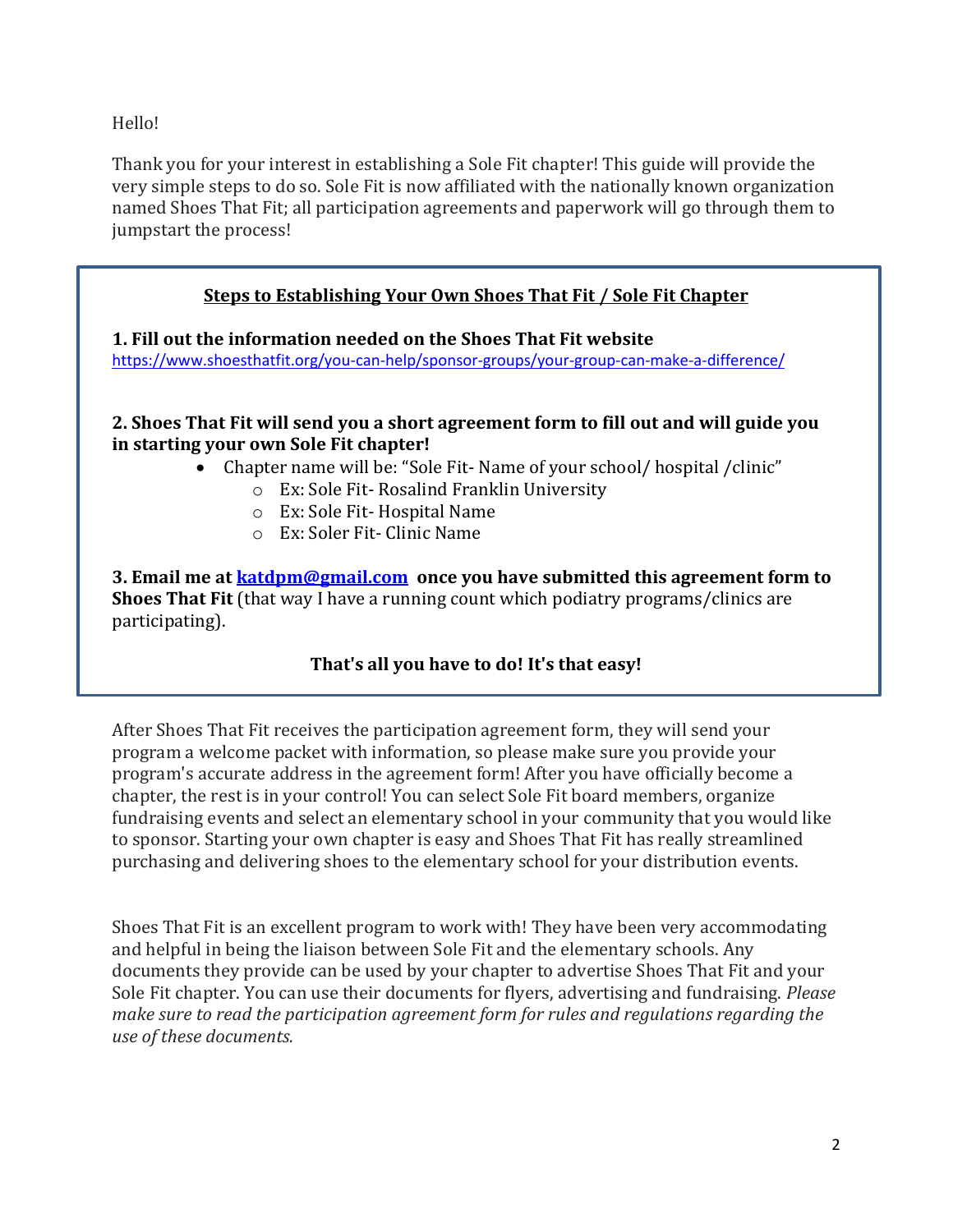Hello!

Thank you for your interest in establishing a Sole Fit chapter! This guide will provide the very simple steps to do so. Sole Fit is now affiliated with the nationally known organization named Shoes That Fit; all participation agreements and paperwork will go through them to jumpstart the process!

## **Steps to Establishing Your Own Shoes That Fit / Sole Fit Chapter**

**1. Fill out the information needed on the Shoes That Fit website**

<https://www.shoesthatfit.org/you-can-help/sponsor-groups/your-group-can-make-a-difference/>

## **2. Shoes That Fit will send you a short agreement form to fill out and will guide you in starting your own Sole Fit chapter!**

- Chapter name will be: "Sole Fit- Name of your school/ hospital / clinic"
	- o Ex: Sole Fit- Rosalind Franklin University
	- o Ex: Sole Fit- Hospital Name
	- o Ex: Soler Fit- Clinic Name

**3. Email me at [katdpm@gmail.com](mailto:katdpm@gmail.com) once you have submitted this agreement form to Shoes That Fit** (that way I have a running count which podiatry programs/clinics are participating).

## **That's all you have to do! It's that easy!**

After Shoes That Fit receives the participation agreement form, they will send your program a welcome packet with information, so please make sure you provide your program's accurate address in the agreement form! After you have officially become a chapter, the rest is in your control! You can select Sole Fit board members, organize fundraising events and select an elementary school in your community that you would like to sponsor. Starting your own chapter is easy and Shoes That Fit has really streamlined purchasing and delivering shoes to the elementary school for your distribution events.

Shoes That Fit is an excellent program to work with! They have been very accommodating and helpful in being the liaison between Sole Fit and the elementary schools. Any documents they provide can be used by your chapter to advertise Shoes That Fit and your Sole Fit chapter. You can use their documents for flyers, advertising and fundraising. *Please make sure to read the participation agreement form for rules and regulations regarding the use of these documents.*